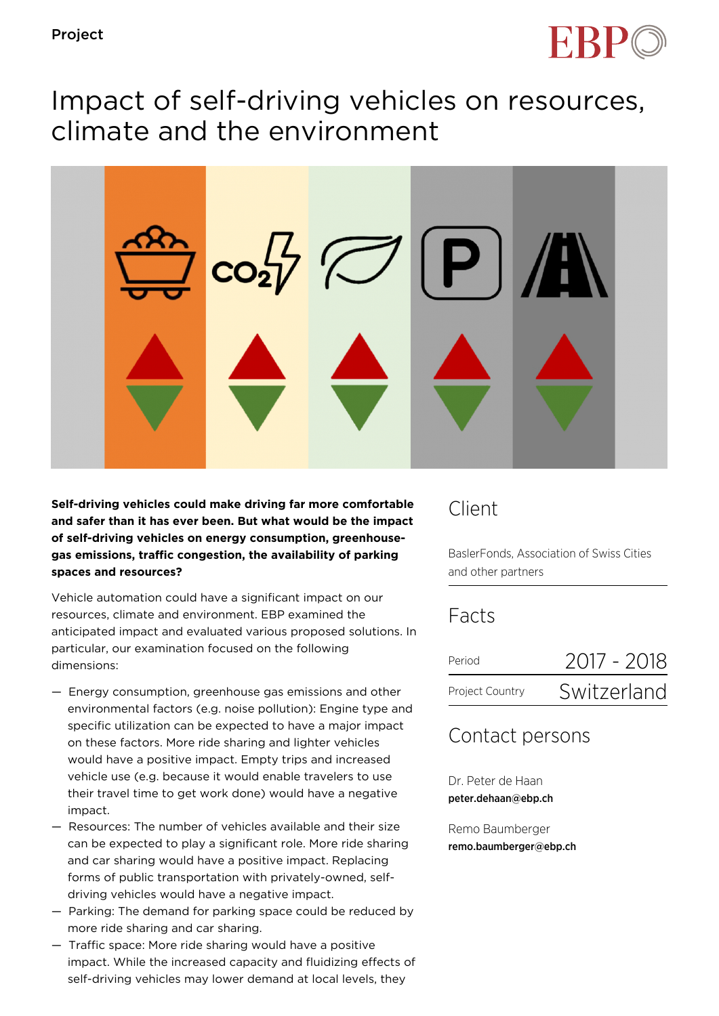

# Impact of self-driving vehicles on resources, climate and the environment



**Self-driving vehicles could make driving far more comfortable and safer than it has ever been. But what would be the impact of self-driving vehicles on energy consumption, greenhousegas emissions, traffic congestion, the availability of parking spaces and resources?**

Vehicle automation could have a significant impact on our resources, climate and environment. EBP examined the anticipated impact and evaluated various proposed solutions. In particular, our examination focused on the following dimensions:

- Energy consumption, greenhouse gas emissions and other environmental factors (e.g. noise pollution): Engine type and specific utilization can be expected to have a major impact on these factors. More ride sharing and lighter vehicles would have a positive impact. Empty trips and increased vehicle use (e.g. because it would enable travelers to use their travel time to get work done) would have a negative impact.
- Resources: The number of vehicles available and their size can be expected to play a significant role. More ride sharing and car sharing would have a positive impact. Replacing forms of public transportation with privately-owned, selfdriving vehicles would have a negative impact.
- Parking: The demand for parking space could be reduced by more ride sharing and car sharing.
- Traffic space: More ride sharing would have a positive impact. While the increased capacity and fluidizing effects of self-driving vehicles may lower demand at local levels, they

## Client

BaslerFonds, Association of Swiss Cities and other partners

### Facts

| Period          | 2017 - 2018 |
|-----------------|-------------|
| Project Country | Switzerland |

### Contact persons

Dr. Peter de Haan peter.dehaan@ebp.ch

Remo Baumberger remo.baumberger@ebp.ch